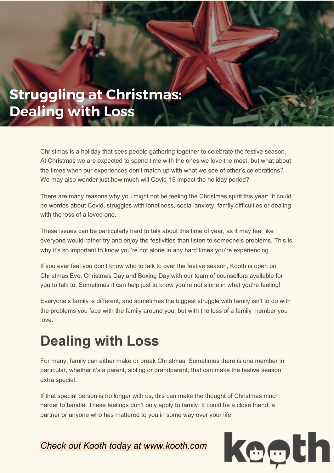## **Struggling at Christmas: Dealing with Loss**

Christmas is a holiday that sees people gathering together to celebrate the festive season. At Christmas we are expected to spend time with the ones we love the most, but what about the times when our experiences don't match up with what we see of other's celebrations? We may also wonder just how much will Covid-19 impact the holiday period?

There are many reasons why you might not be feeling the Christmas spirit this year: it could be worries about Covid, struggles with loneliness, social anxiety, family difficulties or dealing with the loss of a loved one.

These issues can be particularly hard to talk about this time of year, as it may feel like everyone would rather try and enjoy the festivities than listen to someone's problems. This is why it's so important to know you're not alone in any hard times you're experiencing.

If you ever feel you don't know who to talk to over the festive season, Kooth is open on Christmas Eve, Christmas Day and Boxing Day with our team of counsellors available for you to talk to. Sometimes it can help just to know you're not alone in what you're feeling!

Everyone's family is different, and sometimes the biggest struggle with family isn't to do with the problems you face with the family around you, but with the loss of a family member you love.

## **Dealing with Loss**

For many, family can either make or break Christmas. Sometimes there is one member in particular, whether it's a parent, sibling or grandparent, that can make the festive season extra special.

If that special person is no longer with us, this can make the thought of Christmas much harder to handle. These feelings don't only apply to family. It could be a close friend, a partner or anyone who has mattered to you in some way over your life.

*Check out Kooth today at www.kooth.com*